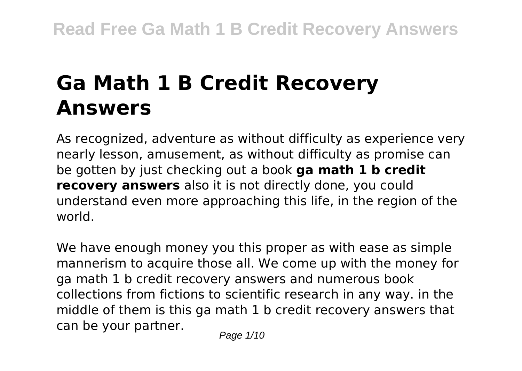# **Ga Math 1 B Credit Recovery Answers**

As recognized, adventure as without difficulty as experience very nearly lesson, amusement, as without difficulty as promise can be gotten by just checking out a book **ga math 1 b credit recovery answers** also it is not directly done, you could understand even more approaching this life, in the region of the world.

We have enough money you this proper as with ease as simple mannerism to acquire those all. We come up with the money for ga math 1 b credit recovery answers and numerous book collections from fictions to scientific research in any way. in the middle of them is this ga math 1 b credit recovery answers that can be your partner.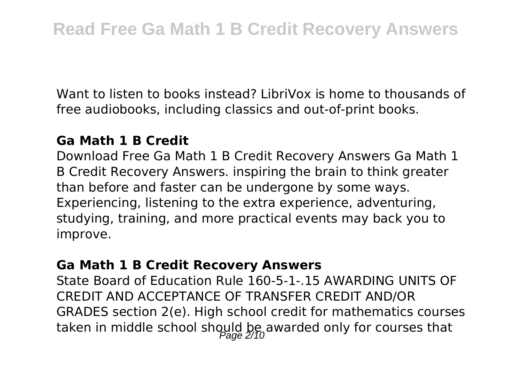Want to listen to books instead? LibriVox is home to thousands of free audiobooks, including classics and out-of-print books.

#### **Ga Math 1 B Credit**

Download Free Ga Math 1 B Credit Recovery Answers Ga Math 1 B Credit Recovery Answers. inspiring the brain to think greater than before and faster can be undergone by some ways. Experiencing, listening to the extra experience, adventuring, studying, training, and more practical events may back you to improve.

#### **Ga Math 1 B Credit Recovery Answers**

State Board of Education Rule 160-5-1-.15 AWARDING UNITS OF CREDIT AND ACCEPTANCE OF TRANSFER CREDIT AND/OR GRADES section 2(e). High school credit for mathematics courses taken in middle school should be awarded only for courses that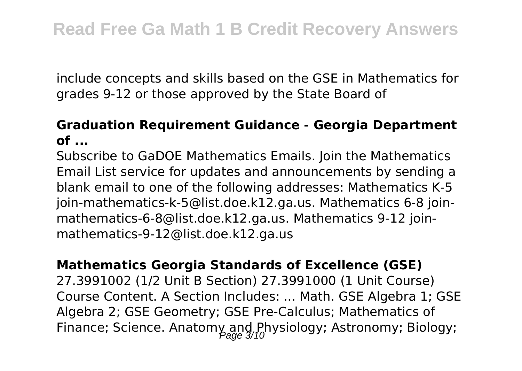include concepts and skills based on the GSE in Mathematics for grades 9-12 or those approved by the State Board of

### **Graduation Requirement Guidance - Georgia Department of ...**

Subscribe to GaDOE Mathematics Emails. Join the Mathematics Email List service for updates and announcements by sending a blank email to one of the following addresses: Mathematics K-5 join-mathematics-k-5@list.doe.k12.ga.us. Mathematics 6-8 joinmathematics-6-8@list.doe.k12.ga.us. Mathematics 9-12 joinmathematics-9-12@list.doe.k12.ga.us

#### **Mathematics Georgia Standards of Excellence (GSE)**

27.3991002 (1/2 Unit B Section) 27.3991000 (1 Unit Course) Course Content. A Section Includes: ... Math. GSE Algebra 1; GSE Algebra 2; GSE Geometry; GSE Pre-Calculus; Mathematics of Finance; Science. Anatomy and Physiology; Astronomy; Biology;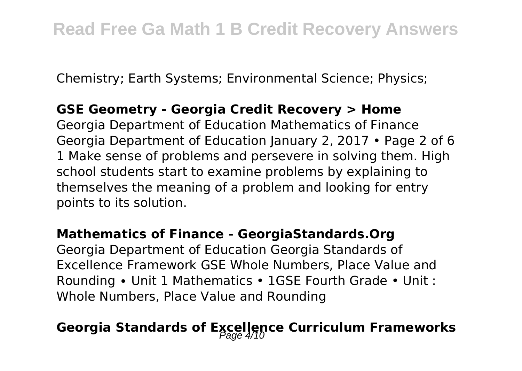Chemistry; Earth Systems; Environmental Science; Physics;

#### **GSE Geometry - Georgia Credit Recovery > Home**

Georgia Department of Education Mathematics of Finance Georgia Department of Education January 2, 2017 • Page 2 of 6 1 Make sense of problems and persevere in solving them. High school students start to examine problems by explaining to themselves the meaning of a problem and looking for entry points to its solution.

#### **Mathematics of Finance - GeorgiaStandards.Org**

Georgia Department of Education Georgia Standards of Excellence Framework GSE Whole Numbers, Place Value and Rounding ∙ Unit 1 Mathematics • 1GSE Fourth Grade • Unit : Whole Numbers, Place Value and Rounding

# Georgia Standards of Excellence Curriculum Frameworks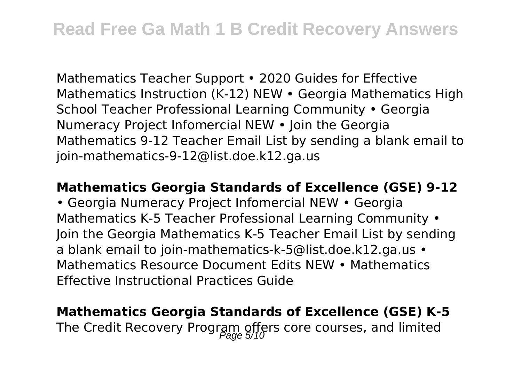Mathematics Teacher Support • 2020 Guides for Effective Mathematics Instruction (K-12) NEW • Georgia Mathematics High School Teacher Professional Learning Community • Georgia Numeracy Project Infomercial NEW • Join the Georgia Mathematics 9-12 Teacher Email List by sending a blank email to join-mathematics-9-12@list.doe.k12.ga.us

#### **Mathematics Georgia Standards of Excellence (GSE) 9-12**

• Georgia Numeracy Project Infomercial NEW • Georgia Mathematics K-5 Teacher Professional Learning Community • Join the Georgia Mathematics K-5 Teacher Email List by sending a blank email to join-mathematics-k-5@list.doe.k12.ga.us • Mathematics Resource Document Edits NEW • Mathematics Effective Instructional Practices Guide

# **Mathematics Georgia Standards of Excellence (GSE) K-5** The Credit Recovery Program offers core courses, and limited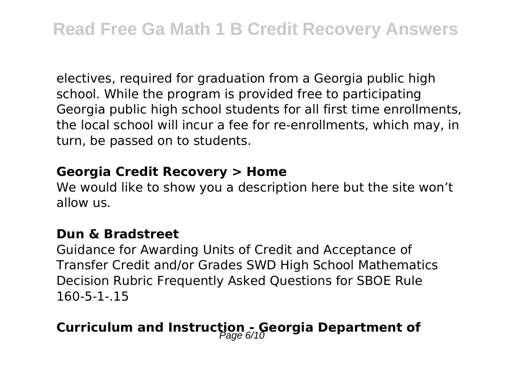electives, required for graduation from a Georgia public high school. While the program is provided free to participating Georgia public high school students for all first time enrollments, the local school will incur a fee for re-enrollments, which may, in turn, be passed on to students.

#### **Georgia Credit Recovery > Home**

We would like to show you a description here but the site won't allow us.

#### **Dun & Bradstreet**

Guidance for Awarding Units of Credit and Acceptance of Transfer Credit and/or Grades SWD High School Mathematics Decision Rubric Frequently Asked Questions for SBOE Rule 160-5-1-.15

# **Curriculum and Instruction - Georgia Department of**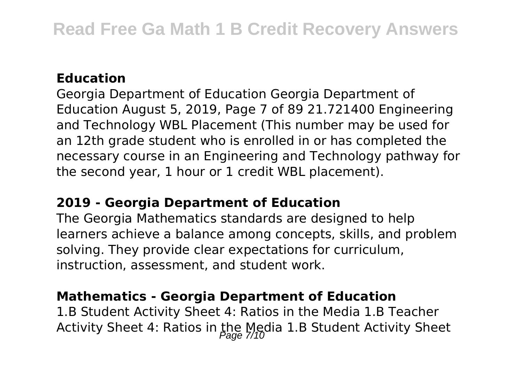### **Education**

Georgia Department of Education Georgia Department of Education August 5, 2019, Page 7 of 89 21.721400 Engineering and Technology WBL Placement (This number may be used for an 12th grade student who is enrolled in or has completed the necessary course in an Engineering and Technology pathway for the second year, 1 hour or 1 credit WBL placement).

#### **2019 - Georgia Department of Education**

The Georgia Mathematics standards are designed to help learners achieve a balance among concepts, skills, and problem solving. They provide clear expectations for curriculum, instruction, assessment, and student work.

### **Mathematics - Georgia Department of Education**

1.B Student Activity Sheet 4: Ratios in the Media 1.B Teacher Activity Sheet 4: Ratios in the Media 1.B Student Activity Sheet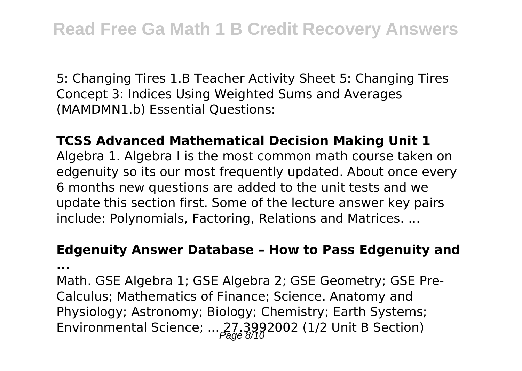5: Changing Tires 1.B Teacher Activity Sheet 5: Changing Tires Concept 3: Indices Using Weighted Sums and Averages (MAMDMN1.b) Essential Questions:

**TCSS Advanced Mathematical Decision Making Unit 1** Algebra 1. Algebra I is the most common math course taken on edgenuity so its our most frequently updated. About once every 6 months new questions are added to the unit tests and we update this section first. Some of the lecture answer key pairs include: Polynomials, Factoring, Relations and Matrices. ...

# **Edgenuity Answer Database – How to Pass Edgenuity and**

**...**

Math. GSE Algebra 1; GSE Algebra 2; GSE Geometry; GSE Pre-Calculus; Mathematics of Finance; Science. Anatomy and Physiology; Astronomy; Biology; Chemistry; Earth Systems; Environmental Science; ...  $27.3992002$  (1/2 Unit B Section)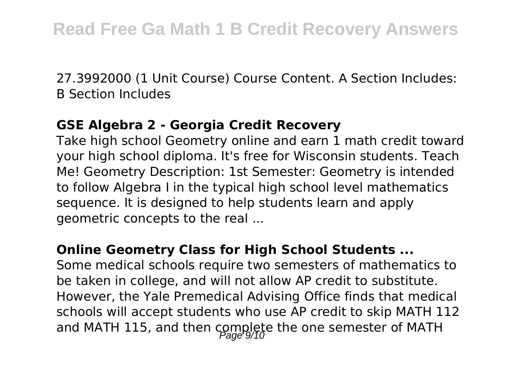27.3992000 (1 Unit Course) Course Content. A Section Includes: B Section Includes

#### **GSE Algebra 2 - Georgia Credit Recovery**

Take high school Geometry online and earn 1 math credit toward your high school diploma. It's free for Wisconsin students. Teach Me! Geometry Description: 1st Semester: Geometry is intended to follow Algebra I in the typical high school level mathematics sequence. It is designed to help students learn and apply geometric concepts to the real ...

#### **Online Geometry Class for High School Students ...**

Some medical schools require two semesters of mathematics to be taken in college, and will not allow AP credit to substitute. However, the Yale Premedical Advising Office finds that medical schools will accept students who use AP credit to skip MATH 112 and MATH 115, and then complete the one semester of MATH